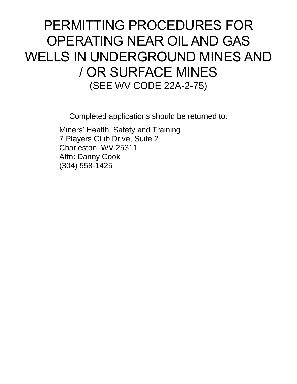# PERMITTING PROCEDURES FOR OPERATING NEAR OIL AND GAS WELLS IN UNDERGROUND MINES AND / OR SURFACE MINES (SEE WV CODE 22A-2-75)

Completed applications should be returned to:

Miners' Health, Safety and Training 7 Players Club Drive, Suite 2 Charleston, WV 25311 Attn: Danny Cook (304) 558-1425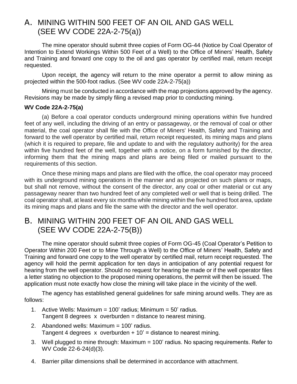## A. MINING WITHIN 500 FEET OF AN OIL AND GAS WELL (SEE WV CODE 22A-2-75(a))

The mine operator should submit three copies of Form OG-44 (Notice by Coal Operator of Intention to Extend Workings Within 500 Feet of a Well) to the Office of Miners' Health, Safety and Training and forward one copy to the oil and gas operator by certified mail, return receipt requested.

Upon receipt, the agency will return to the mine operator a permit to allow mining as projected within the 500-foot radius. (See WV code 22A-2-75(a))

Mining must be conducted in accordance with the map projections approved by the agency. Revisions may be made by simply filing a revised map prior to conducting mining.

#### **WV Code 22A-2-75(a)**

(a) Before a coal operator conducts underground mining operations within five hundred feet of any well, including the driving of an entry or passageway, or the removal of coal or other material, the coal operator shall file with the Office of Miners' Health, Safety and Training and forward to the well operator by certified mail, return receipt requested, its mining maps and plans (which it is required to prepare, file and update to and with the regulatory authority) for the area within five hundred feet of the well, together with a notice, on a form furnished by the director, informing them that the mining maps and plans are being filed or mailed pursuant to the requirements of this section.

Once these mining maps and plans are filed with the office, the coal operator may proceed with its underground mining operations in the manner and as projected on such plans or maps, but shall not remove, without the consent of the director, any coal or other material or cut any passageway nearer than two hundred feet of any completed well or well that is being drilled. The coal operator shall, at least every six months while mining within the five hundred foot area, update its mining maps and plans and file the same with the director and the well operator.

## B. MINING WITHIN 200 FEET OF AN OIL AND GAS WELL (SEE WV CODE 22A-2-75(B))

The mine operator should submit three copies of Form OG-45 (Coal Operator's Petition to Operator Within 200 Feet or to Mine Through a Well) to the Office of Miners' Health, Safety and Training and forward one copy to the well operator by certified mail, return receipt requested. The agency will hold the permit application for ten days in anticipation of any potential request for hearing from the well operator. Should no request for hearing be made or if the well operator files a letter stating no objection to the proposed mining operations, the permit will then be issued. The application must note exactly how close the mining will take place in the vicinity of the well.

The agency has established general guidelines for safe mining around wells. They are as follows:

- 1. Active Wells: Maximum = 100' radius; Minimum = 50' radius. Tangent 8 degrees x overburden = distance to nearest mining.
- 2. Abandoned wells: Maximum = 100' radius. Tangent 4 degrees  $x$  overburden  $+10'$  = distance to nearest mining.
- 3. Well plugged to mine through: Maximum = 100' radius. No spacing requirements. Refer to WV Code 22-6-24(d)(3).
- 4. Barrier pillar dimensions shall be determined in accordance with attachment.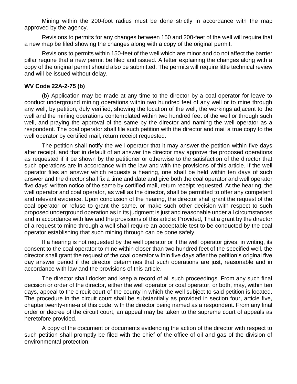Mining within the 200-foot radius must be done strictly in accordance with the map approved by the agency.

Revisions to permits for any changes between 150 and 200-feet of the well will require that a new map be filed showing the changes along with a copy of the original permit.

Revisions to permits within 150-feet of the well which are minor and do not affect the barrier pillar require that a new permit be filed and issued. A letter explaining the changes along with a copy of the original permit should also be submitted. The permits will require little technical review and will be issued without delay.

#### **WV Code 22A-2-75 (b)**

(b) Application may be made at any time to the director by a coal operator for leave to conduct underground mining operations within two hundred feet of any well or to mine through any well, by petition, duly verified, showing the location of the well, the workings adjacent to the well and the mining operations contemplated within two hundred feet of the well or through such well, and praying the approval of the same by the director and naming the well operator as a respondent. The coal operator shall file such petition with the director and mail a true copy to the well operator by certified mail, return receipt requested.

The petition shall notify the well operator that it may answer the petition within five days after receipt, and that in default of an answer the director may approve the proposed operations as requested if it be shown by the petitioner or otherwise to the satisfaction of the director that such operations are in accordance with the law and with the provisions of this article. If the well operator files an answer which requests a hearing, one shall be held within ten days of such answer and the director shall fix a time and date and give both the coal operator and well operator five days' written notice of the same by certified mail, return receipt requested. At the hearing, the well operator and coal operator, as well as the director, shall be permitted to offer any competent and relevant evidence. Upon conclusion of the hearing, the director shall grant the request of the coal operator or refuse to grant the same, or make such other decision with respect to such proposed underground operation as in its judgment is just and reasonable under all circumstances and in accordance with law and the provisions of this article: Provided, That a grant by the director of a request to mine through a well shall require an acceptable test to be conducted by the coal operator establishing that such mining through can be done safely.

If a hearing is not requested by the well operator or if the well operator gives, in writing, its consent to the coal operator to mine within closer than two hundred feet of the specified well, the director shall grant the request of the coal operator within five days after the petition's original five day answer period if the director determines that such operations are just, reasonable and in accordance with law and the provisions of this article.

The director shall docket and keep a record of all such proceedings. From any such final decision or order of the director, either the well operator or coal operator, or both, may, within ten days, appeal to the circuit court of the county in which the well subject to said petition is located. The procedure in the circuit court shall be substantially as provided in section four, article five, chapter twenty-nine-a of this code, with the director being named as a respondent. From any final order or decree of the circuit court, an appeal may be taken to the supreme court of appeals as heretofore provided.

A copy of the document or documents evidencing the action of the director with respect to such petition shall promptly be filed with the chief of the office of oil and gas of the division of environmental protection.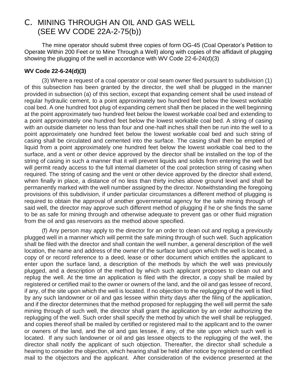## C. MINING THROUGH AN OIL AND GAS WELL (SEE WV CODE 22A-2-75(b))

The mine operator should submit three copies of form OG-45 (Coal Operator's Petition to Operate Within 200 Feet or to Mine Through a Well) along with copies of the affidavit of plugging showing the plugging of the well in accordance with WV Code 22-6-24(d)(3)

#### **WV Code 22-6-24(d)(3)**

(3) Where a request of a coal operator or coal seam owner filed pursuant to subdivision (1) of this subsection has been granted by the director, the well shall be plugged in the manner provided in subsection (a) of this section, except that expanding cement shall be used instead of regular hydraulic cement, to a point approximately two hundred feet below the lowest workable coal bed. A one hundred foot plug of expanding cement shall then be placed in the well beginning at the point approximately two hundred feet below the lowest workable coal bed and extending to a point approximately one hundred feet below the lowest workable coal bed. A string of casing with an outside diameter no less than four and one-half inches shall then be run into the well to a point approximately one hundred feet below the lowest workable coal bed and such string of casing shall be circulated and cemented into the surface. The casing shall then be emptied of liquid from a point approximately one hundred feet below the lowest workable coal bed to the surface, and a vent or other device approved by the director shall be installed on the top of the string of casing in such a manner that it will prevent liquids and solids from entering the well but will permit ready access to the full internal diameter of the coal protection string of casing when required. The string of casing and the vent or other device approved by the director shall extend, when finally in place, a distance of no less than thirty inches above ground level and shall be permanently marked with the well number assigned by the director. Notwithstanding the foregoing provisions of this subdivision, if under particular circumstances a different method of plugging is required to obtain the approval of another governmental agency for the safe mining through of said well, the director may approve such different method of plugging if he or she finds the same to be as safe for mining through and otherwise adequate to prevent gas or other fluid migration from the oil and gas reservoirs as the method above specified.

(f) Any person may apply to the director for an order to clean out and replug a previously plugged well in a manner which will permit the safe mining through of such well. Such application shall be filed with the director and shall contain the well number, a general description of the well location, the name and address of the owner of the surface land upon which the well is located, a copy of or record reference to a deed, lease or other document which entitles the applicant to enter upon the surface land, a description of the methods by which the well was previously plugged, and a description of the method by which such applicant proposes to clean out and replug the well. At the time an application is filed with the director, a copy shall be mailed by registered or certified mail to the owner or owners of the land, and the oil and gas lessee of record, if any, of the site upon which the well is located. If no objection to the replugging of the well is filed by any such landowner or oil and gas lessee within thirty days after the filing of the application, and if the director determines that the method proposed for replugging the well will permit the safe mining through of such well, the director shall grant the application by an order authorizing the replugging of the well. Such order shall specify the method by which the well shall be replugged, and copies thereof shall be mailed by certified or registered mail to the applicant and to the owner or owners of the land, and the oil and gas lessee, if any, of the site upon which such well is located. If any such landowner or oil and gas lessee objects to the replugging of the well, the director shall notify the applicant of such objection. Thereafter, the director shall schedule a hearing to consider the objection, which hearing shall be held after notice by registered or certified mail to the objectors and the applicant. After consideration of the evidence presented at the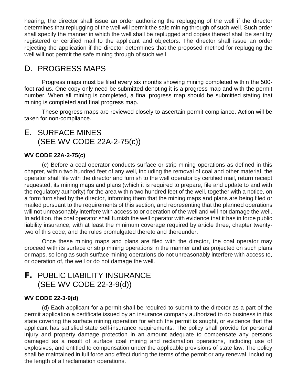hearing, the director shall issue an order authorizing the replugging of the well if the director determines that replugging of the well will permit the safe mining through of such well. Such order shall specify the manner in which the well shall be replugged and copies thereof shall be sent by registered or certified mail to the applicant and objectors. The director shall issue an order rejecting the application if the director determines that the proposed method for replugging the well will not permit the safe mining through of such well.

## D. PROGRESS MAPS

Progress maps must be filed every six months showing mining completed within the 500 foot radius. One copy only need be submitted denoting it is a progress map and with the permit number. When all mining is completed, a final progress map should be submitted stating that mining is completed and final progress map.

These progress maps are reviewed closely to ascertain permit compliance. Action will be taken for non-compliance.

# E. SURFACE MINES (SEE WV CODE 22A-2-75(c))

## **WV CODE 22A-2-75(c)**

(c) Before a coal operator conducts surface or strip mining operations as defined in this chapter, within two hundred feet of any well, including the removal of coal and other material, the operator shall file with the director and furnish to the well operator by certified mail, return receipt requested, its mining maps and plans (which it is required to prepare, file and update to and with the regulatory authority) for the area within two hundred feet of the well, together with a notice, on a form furnished by the director, informing them that the mining maps and plans are being filed or mailed pursuant to the requirements of this section, and representing that the planned operations will not unreasonably interfere with access to or operation of the well and will not damage the well. In addition, the coal operator shall furnish the well operator with evidence that it has in force public liability insurance, with at least the minimum coverage required by article three, chapter twentytwo of this code, and the rules promulgated thereto and thereunder.

Once these mining maps and plans are filed with the director, the coal operator may proceed with its surface or strip mining operations in the manner and as projected on such plans or maps, so long as such surface mining operations do not unreasonably interfere with access to, or operation of, the well or do not damage the well.

## **F.** PUBLIC LIABILITY INSURANCE (SEE WV CODE 22-3-9(d))

## **WV CODE 22-3-9(d)**

(d) Each applicant for a permit shall be required to submit to the director as a part of the permit application a certificate issued by an insurance company authorized to do business in this state covering the surface mining operation for which the permit is sought, or evidence that the applicant has satisfied state self-insurance requirements. The policy shall provide for personal injury and property damage protection in an amount adequate to compensate any persons damaged as a result of surface coal mining and reclamation operations, including use of explosives, and entitled to compensation under the applicable provisions of state law. The policy shall be maintained in full force and effect during the terms of the permit or any renewal, including the length of all reclamation operations.